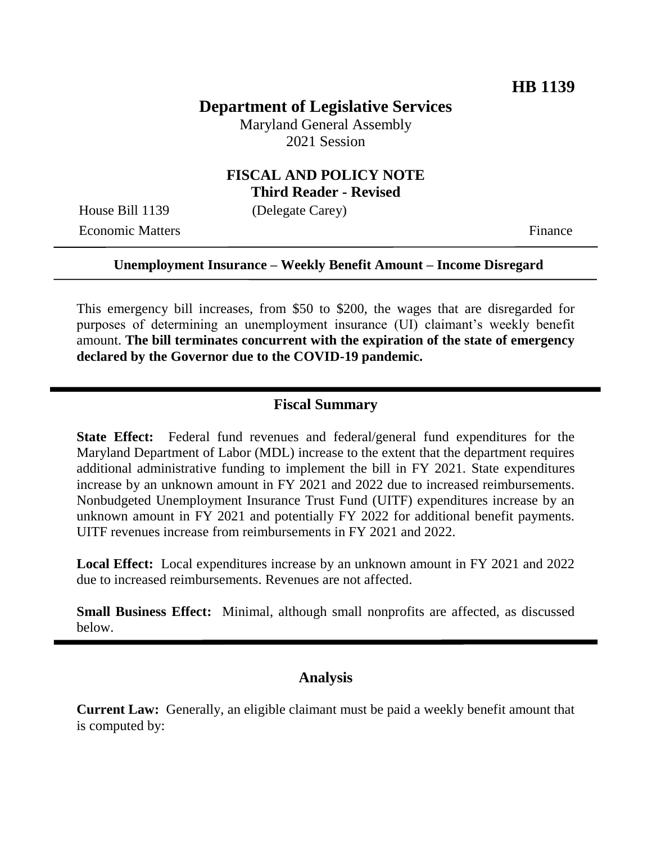## **Department of Legislative Services**

Maryland General Assembly 2021 Session

## **FISCAL AND POLICY NOTE Third Reader - Revised**

House Bill 1139 (Delegate Carey) Economic Matters Finance

#### **Unemployment Insurance – Weekly Benefit Amount – Income Disregard**

This emergency bill increases, from \$50 to \$200, the wages that are disregarded for purposes of determining an unemployment insurance (UI) claimant's weekly benefit amount. **The bill terminates concurrent with the expiration of the state of emergency declared by the Governor due to the COVID-19 pandemic.**

#### **Fiscal Summary**

**State Effect:** Federal fund revenues and federal/general fund expenditures for the Maryland Department of Labor (MDL) increase to the extent that the department requires additional administrative funding to implement the bill in FY 2021. State expenditures increase by an unknown amount in FY 2021 and 2022 due to increased reimbursements. Nonbudgeted Unemployment Insurance Trust Fund (UITF) expenditures increase by an unknown amount in FY 2021 and potentially FY 2022 for additional benefit payments. UITF revenues increase from reimbursements in FY 2021 and 2022.

**Local Effect:** Local expenditures increase by an unknown amount in FY 2021 and 2022 due to increased reimbursements. Revenues are not affected.

**Small Business Effect:** Minimal, although small nonprofits are affected, as discussed below.

#### **Analysis**

**Current Law:** Generally, an eligible claimant must be paid a weekly benefit amount that is computed by: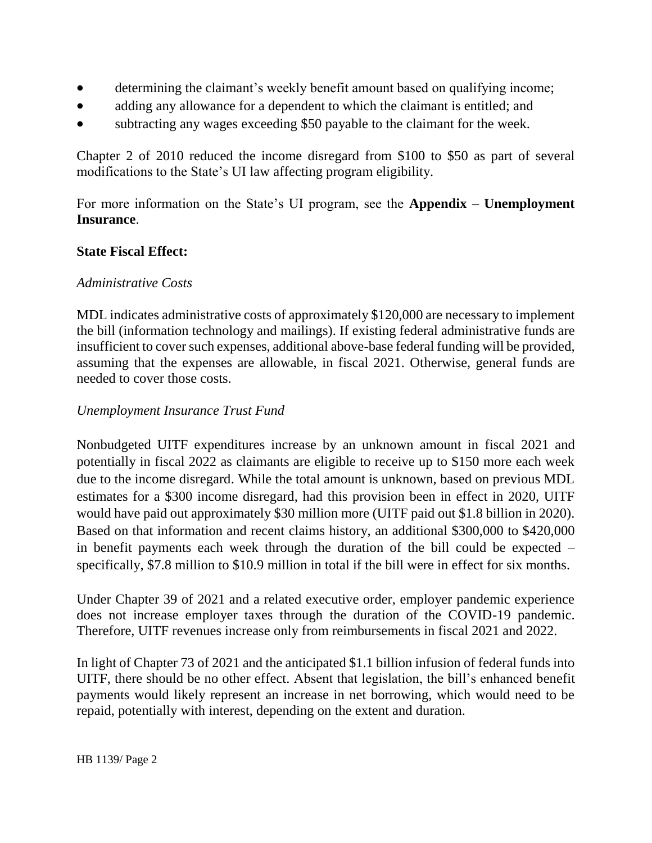- determining the claimant's weekly benefit amount based on qualifying income;
- adding any allowance for a dependent to which the claimant is entitled; and
- subtracting any wages exceeding \$50 payable to the claimant for the week.

Chapter 2 of 2010 reduced the income disregard from \$100 to \$50 as part of several modifications to the State's UI law affecting program eligibility.

For more information on the State's UI program, see the **Appendix – Unemployment Insurance**.

## **State Fiscal Effect:**

## *Administrative Costs*

MDL indicates administrative costs of approximately \$120,000 are necessary to implement the bill (information technology and mailings). If existing federal administrative funds are insufficient to cover such expenses, additional above-base federal funding will be provided, assuming that the expenses are allowable, in fiscal 2021. Otherwise, general funds are needed to cover those costs.

## *Unemployment Insurance Trust Fund*

Nonbudgeted UITF expenditures increase by an unknown amount in fiscal 2021 and potentially in fiscal 2022 as claimants are eligible to receive up to \$150 more each week due to the income disregard. While the total amount is unknown, based on previous MDL estimates for a \$300 income disregard, had this provision been in effect in 2020, UITF would have paid out approximately \$30 million more (UITF paid out \$1.8 billion in 2020). Based on that information and recent claims history, an additional \$300,000 to \$420,000 in benefit payments each week through the duration of the bill could be expected – specifically, \$7.8 million to \$10.9 million in total if the bill were in effect for six months.

Under Chapter 39 of 2021 and a related executive order, employer pandemic experience does not increase employer taxes through the duration of the COVID-19 pandemic. Therefore, UITF revenues increase only from reimbursements in fiscal 2021 and 2022.

In light of Chapter 73 of 2021 and the anticipated \$1.1 billion infusion of federal funds into UITF, there should be no other effect. Absent that legislation, the bill's enhanced benefit payments would likely represent an increase in net borrowing, which would need to be repaid, potentially with interest, depending on the extent and duration.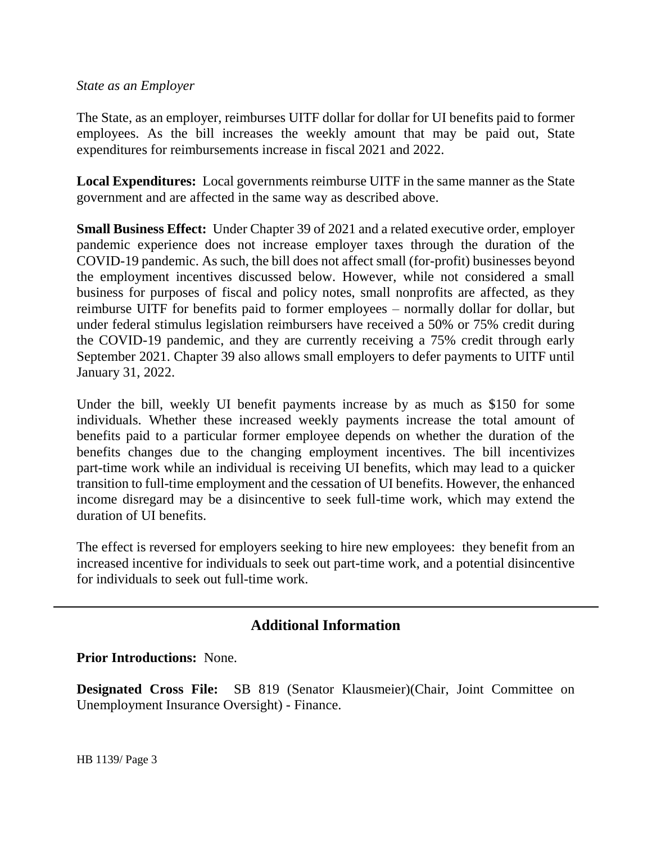### *State as an Employer*

The State, as an employer, reimburses UITF dollar for dollar for UI benefits paid to former employees. As the bill increases the weekly amount that may be paid out, State expenditures for reimbursements increase in fiscal 2021 and 2022.

**Local Expenditures:** Local governments reimburse UITF in the same manner as the State government and are affected in the same way as described above.

**Small Business Effect:** Under Chapter 39 of 2021 and a related executive order, employer pandemic experience does not increase employer taxes through the duration of the COVID-19 pandemic. As such, the bill does not affect small (for-profit) businesses beyond the employment incentives discussed below. However, while not considered a small business for purposes of fiscal and policy notes, small nonprofits are affected, as they reimburse UITF for benefits paid to former employees – normally dollar for dollar, but under federal stimulus legislation reimbursers have received a 50% or 75% credit during the COVID-19 pandemic, and they are currently receiving a 75% credit through early September 2021. Chapter 39 also allows small employers to defer payments to UITF until January 31, 2022.

Under the bill, weekly UI benefit payments increase by as much as \$150 for some individuals. Whether these increased weekly payments increase the total amount of benefits paid to a particular former employee depends on whether the duration of the benefits changes due to the changing employment incentives. The bill incentivizes part-time work while an individual is receiving UI benefits, which may lead to a quicker transition to full-time employment and the cessation of UI benefits. However, the enhanced income disregard may be a disincentive to seek full-time work, which may extend the duration of UI benefits.

The effect is reversed for employers seeking to hire new employees: they benefit from an increased incentive for individuals to seek out part-time work, and a potential disincentive for individuals to seek out full-time work.

# **Additional Information**

### **Prior Introductions:** None.

**Designated Cross File:** SB 819 (Senator Klausmeier)(Chair, Joint Committee on Unemployment Insurance Oversight) - Finance.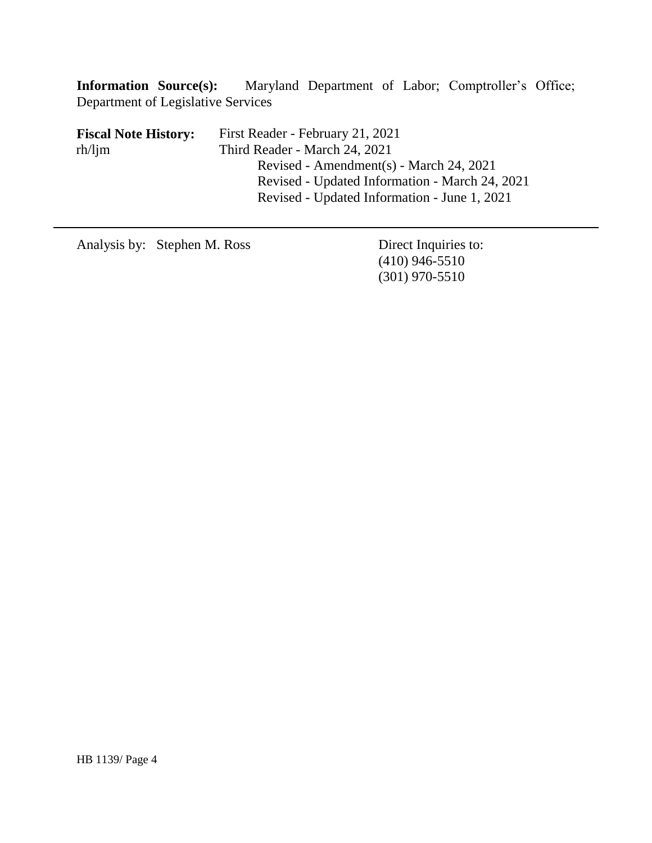**Information Source(s):** Maryland Department of Labor; Comptroller's Office; Department of Legislative Services

**Fiscal Note History:** First Reader - February 21, 2021 Third Reader - March 24, 2021 Revised - Amendment(s) - March 24, 2021 Revised - Updated Information - March 24, 2021 Revised - Updated Information - June 1, 2021 rh/ljm

Analysis by: Stephen M. Ross Direct Inquiries to:

(410) 946-5510 (301) 970-5510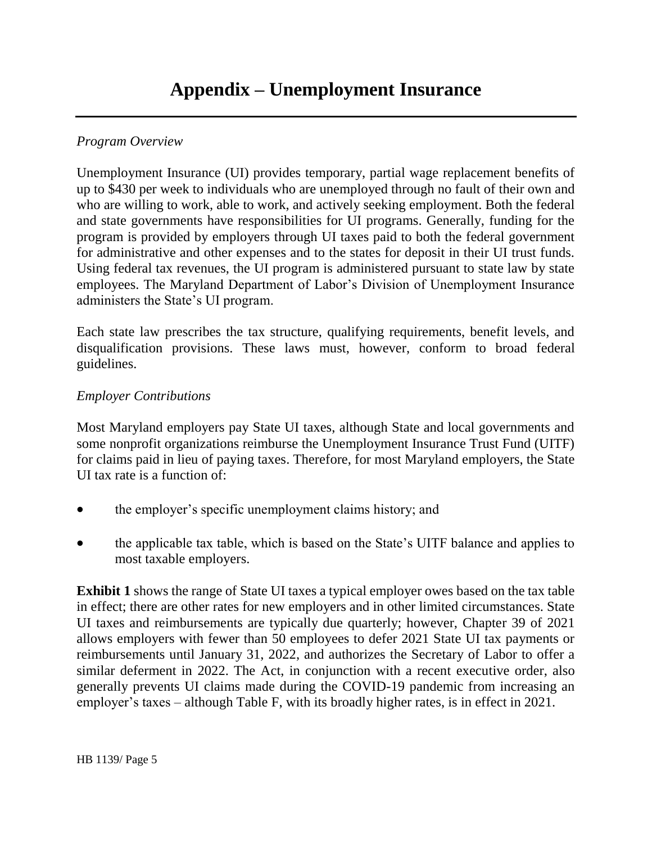# *Program Overview*

Unemployment Insurance (UI) provides temporary, partial wage replacement benefits of up to \$430 per week to individuals who are unemployed through no fault of their own and who are willing to work, able to work, and actively seeking employment. Both the federal and state governments have responsibilities for UI programs. Generally, funding for the program is provided by employers through UI taxes paid to both the federal government for administrative and other expenses and to the states for deposit in their UI trust funds. Using federal tax revenues, the UI program is administered pursuant to state law by state employees. The Maryland Department of Labor's Division of Unemployment Insurance administers the State's UI program.

Each state law prescribes the tax structure, qualifying requirements, benefit levels, and disqualification provisions. These laws must, however, conform to broad federal guidelines.

## *Employer Contributions*

Most Maryland employers pay State UI taxes, although State and local governments and some nonprofit organizations reimburse the Unemployment Insurance Trust Fund (UITF) for claims paid in lieu of paying taxes. Therefore, for most Maryland employers, the State UI tax rate is a function of:

- the employer's specific unemployment claims history; and
- the applicable tax table, which is based on the State's UITF balance and applies to most taxable employers.

**Exhibit 1** shows the range of State UI taxes a typical employer owes based on the tax table in effect; there are other rates for new employers and in other limited circumstances. State UI taxes and reimbursements are typically due quarterly; however, Chapter 39 of 2021 allows employers with fewer than 50 employees to defer 2021 State UI tax payments or reimbursements until January 31, 2022, and authorizes the Secretary of Labor to offer a similar deferment in 2022. The Act, in conjunction with a recent executive order, also generally prevents UI claims made during the COVID-19 pandemic from increasing an employer's taxes – although Table F, with its broadly higher rates, is in effect in 2021.